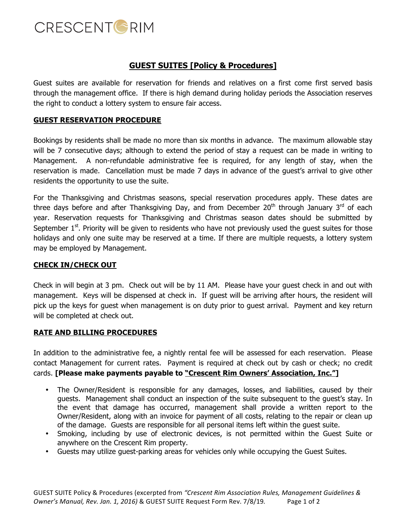

## **GUEST SUITES [Policy & Procedures]**

Guest suites are available for reservation for friends and relatives on a first come first served basis through the management office. If there is high demand during holiday periods the Association reserves the right to conduct a lottery system to ensure fair access.

### **GUEST RESERVATION PROCEDURE**

Bookings by residents shall be made no more than six months in advance. The maximum allowable stay will be 7 consecutive days; although to extend the period of stay a request can be made in writing to Management. A non-refundable administrative fee is required, for any length of stay, when the reservation is made. Cancellation must be made 7 days in advance of the guest's arrival to give other residents the opportunity to use the suite.

For the Thanksgiving and Christmas seasons, special reservation procedures apply. These dates are three days before and after Thanksgiving Day, and from December 20<sup>th</sup> through January 3<sup>rd</sup> of each year. Reservation requests for Thanksgiving and Christmas season dates should be submitted by September  $1<sup>st</sup>$ . Priority will be given to residents who have not previously used the quest suites for those holidays and only one suite may be reserved at a time. If there are multiple requests, a lottery system may be employed by Management.

#### **CHECK IN/CHECK OUT**

Check in will begin at 3 pm. Check out will be by 11 AM. Please have your guest check in and out with management. Keys will be dispensed at check in. If guest will be arriving after hours, the resident will pick up the keys for guest when management is on duty prior to guest arrival. Payment and key return will be completed at check out.

#### **RATE AND BILLING PROCEDURES**

In addition to the administrative fee, a nightly rental fee will be assessed for each reservation. Please contact Management for current rates. Payment is required at check out by cash or check; no credit cards. **[Please make payments payable to "Crescent Rim Owners' Association, Inc."]**

- The Owner/Resident is responsible for any damages, losses, and liabilities, caused by their guests. Management shall conduct an inspection of the suite subsequent to the guest's stay. In the event that damage has occurred, management shall provide a written report to the Owner/Resident, along with an invoice for payment of all costs, relating to the repair or clean up of the damage. Guests are responsible for all personal items left within the guest suite.
- Smoking, including by use of electronic devices, is not permitted within the Guest Suite or anywhere on the Crescent Rim property.
- Guests may utilize guest-parking areas for vehicles only while occupying the Guest Suites.